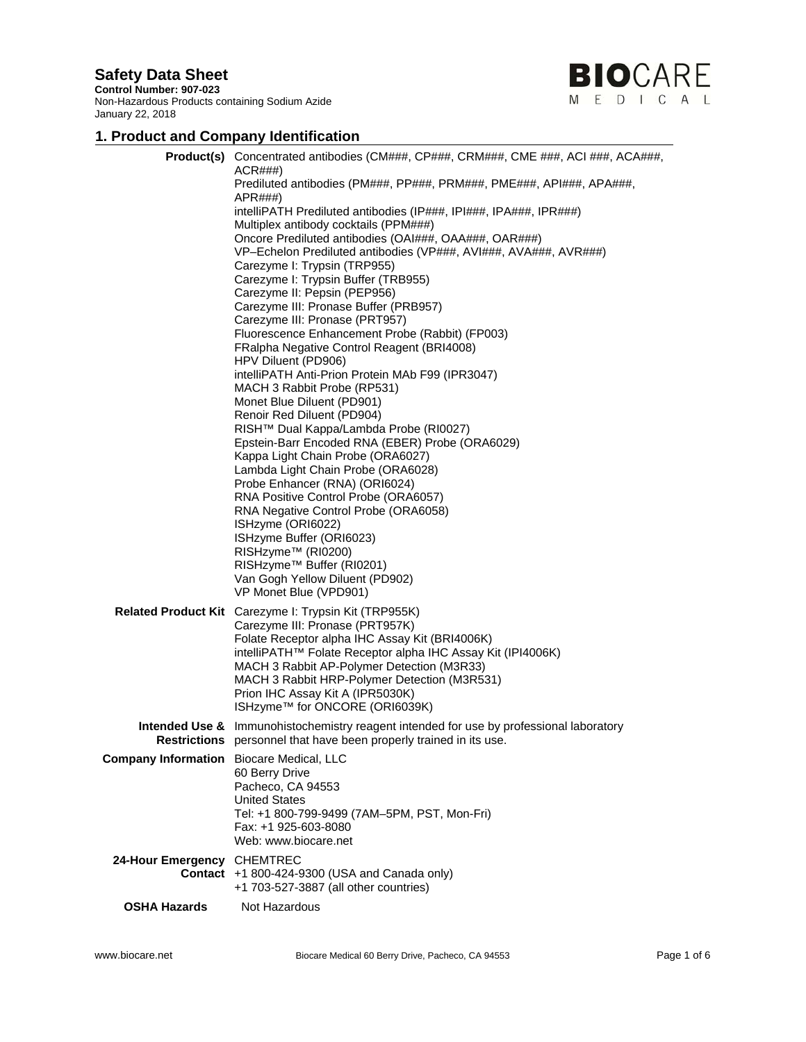**Control Number: 907-023**  Non-Hazardous Products containing Sodium Azide January 22, 2018



# **1. Product and Company Identification**

|                                                 | <b>Product(s)</b> Concentrated antibodies (CM###, CP###, CRM###, CME ###, ACI ###, ACA###,<br>ACR###<br>Prediluted antibodies (PM###, PP###, PRM###, PME###, API###, APA###,<br>APR###<br>intelliPATH Prediluted antibodies (IP###, IPI###, IPA###, IPR###)                                                                                                                   |
|-------------------------------------------------|-------------------------------------------------------------------------------------------------------------------------------------------------------------------------------------------------------------------------------------------------------------------------------------------------------------------------------------------------------------------------------|
|                                                 | Multiplex antibody cocktails (PPM###)<br>Oncore Prediluted antibodies (OAI###, OAA###, OAR###)<br>VP-Echelon Prediluted antibodies (VP###, AVI###, AVA###, AVR###)<br>Carezyme I: Trypsin (TRP955)                                                                                                                                                                            |
|                                                 | Carezyme I: Trypsin Buffer (TRB955)<br>Carezyme II: Pepsin (PEP956)<br>Carezyme III: Pronase Buffer (PRB957)<br>Carezyme III: Pronase (PRT957)                                                                                                                                                                                                                                |
|                                                 | Fluorescence Enhancement Probe (Rabbit) (FP003)<br>FRalpha Negative Control Reagent (BRI4008)<br>HPV Diluent (PD906)<br>intelliPATH Anti-Prion Protein MAb F99 (IPR3047)                                                                                                                                                                                                      |
|                                                 | MACH 3 Rabbit Probe (RP531)<br>Monet Blue Diluent (PD901)<br>Renoir Red Diluent (PD904)<br>RISH™ Dual Kappa/Lambda Probe (RI0027)                                                                                                                                                                                                                                             |
|                                                 | Epstein-Barr Encoded RNA (EBER) Probe (ORA6029)<br>Kappa Light Chain Probe (ORA6027)<br>Lambda Light Chain Probe (ORA6028)<br>Probe Enhancer (RNA) (ORI6024)<br>RNA Positive Control Probe (ORA6057)                                                                                                                                                                          |
|                                                 | RNA Negative Control Probe (ORA6058)<br>ISHzyme (ORI6022)<br>ISHzyme Buffer (ORI6023)<br>RISHzyme™ (RI0200)<br>RISHzyme™ Buffer (RI0201)<br>Van Gogh Yellow Diluent (PD902)<br>VP Monet Blue (VPD901)                                                                                                                                                                         |
|                                                 | Related Product Kit Carezyme I: Trypsin Kit (TRP955K)<br>Carezyme III: Pronase (PRT957K)<br>Folate Receptor alpha IHC Assay Kit (BRI4006K)<br>intelliPATH™ Folate Receptor alpha IHC Assay Kit (IPI4006K)<br>MACH 3 Rabbit AP-Polymer Detection (M3R33)<br>MACH 3 Rabbit HRP-Polymer Detection (M3R531)<br>Prion IHC Assay Kit A (IPR5030K)<br>ISHzyme™ for ONCORE (ORI6039K) |
|                                                 | <b>Intended Use &amp;</b> Immunohistochemistry reagent intended for use by professional laboratory<br><b>Restrictions</b> personnel that have been properly trained in its use.                                                                                                                                                                                               |
| <b>Company Information</b> Biocare Medical, LLC | 60 Berry Drive<br>Pacheco, CA 94553<br><b>United States</b><br>Tel: +1 800-799-9499 (7AM-5PM, PST, Mon-Fri)<br>Fax: +1 925-603-8080<br>Web: www.biocare.net                                                                                                                                                                                                                   |
| 24-Hour Emergency CHEMTREC                      | Contact +1 800-424-9300 (USA and Canada only)<br>+1 703-527-3887 (all other countries)                                                                                                                                                                                                                                                                                        |
| <b>OSHA Hazards</b>                             | Not Hazardous                                                                                                                                                                                                                                                                                                                                                                 |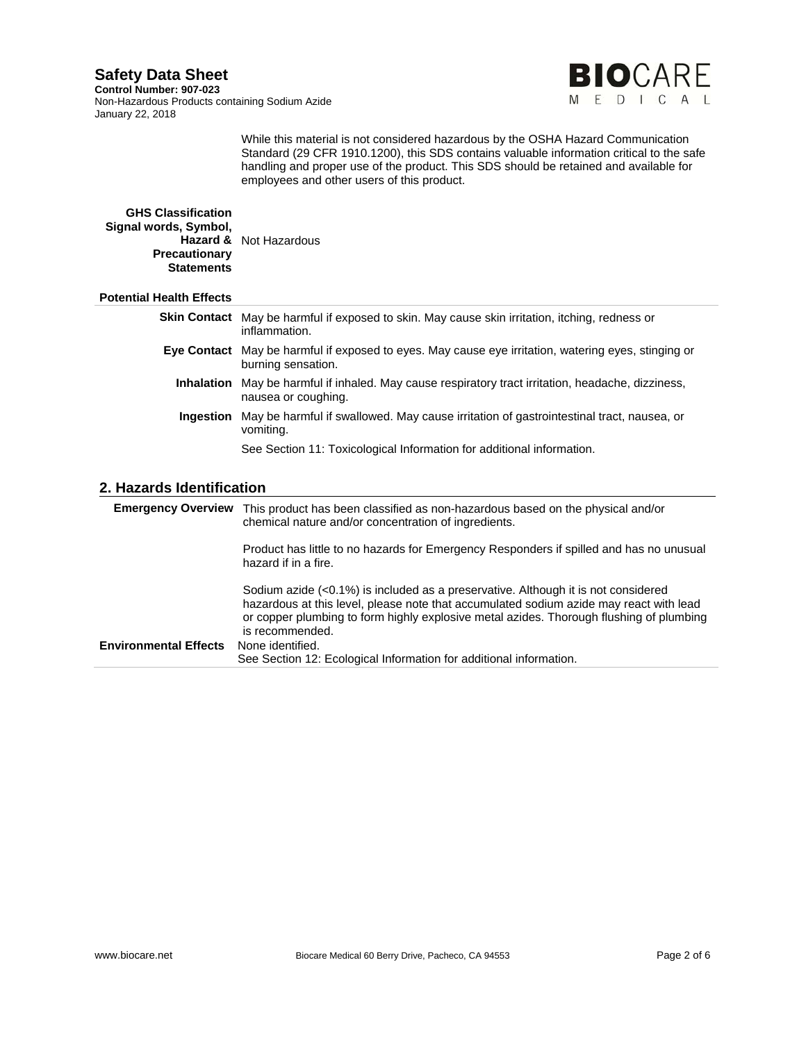**Control Number: 907-023**  Non-Hazardous Products containing Sodium Azide January 22, 2018



While this material is not considered hazardous by the OSHA Hazard Communication Standard (29 CFR 1910.1200), this SDS contains valuable information critical to the safe handling and proper use of the product. This SDS should be retained and available for employees and other users of this product.

#### **GHS Classification Signal words, Symbol, Hazard &**  Not Hazardous **Precautionary Statements**

### **Potential Health Effects**

| <b>Skin Contact</b> May be harmful if exposed to skin. May cause skin irritation, itching, redness or<br>inflammation.           |
|----------------------------------------------------------------------------------------------------------------------------------|
| Eye Contact May be harmful if exposed to eyes. May cause eye irritation, watering eyes, stinging or<br>burning sensation.        |
| <b>Inhalation</b> May be harmful if inhaled. May cause respiratory tract irritation, headache, dizziness,<br>nausea or coughing. |
| <b>Ingestion</b> May be harmful if swallowed. May cause irritation of gastrointestinal tract, nausea, or<br>vomiting.            |
| See Section 11: Toxicological Information for additional information.                                                            |

### **2. Hazards Identification**

|                              | <b>Emergency Overview</b> This product has been classified as non-hazardous based on the physical and/or<br>chemical nature and/or concentration of ingredients.                                                                                                                                                                                                                            |
|------------------------------|---------------------------------------------------------------------------------------------------------------------------------------------------------------------------------------------------------------------------------------------------------------------------------------------------------------------------------------------------------------------------------------------|
|                              | Product has little to no hazards for Emergency Responders if spilled and has no unusual<br>hazard if in a fire.                                                                                                                                                                                                                                                                             |
| <b>Environmental Effects</b> | Sodium azide $\left($ <0.1%) is included as a preservative. Although it is not considered<br>hazardous at this level, please note that accumulated sodium azide may react with lead<br>or copper plumbing to form highly explosive metal azides. Thorough flushing of plumbing<br>is recommended.<br>None identified.<br>See Section 12: Ecological Information for additional information. |
|                              |                                                                                                                                                                                                                                                                                                                                                                                             |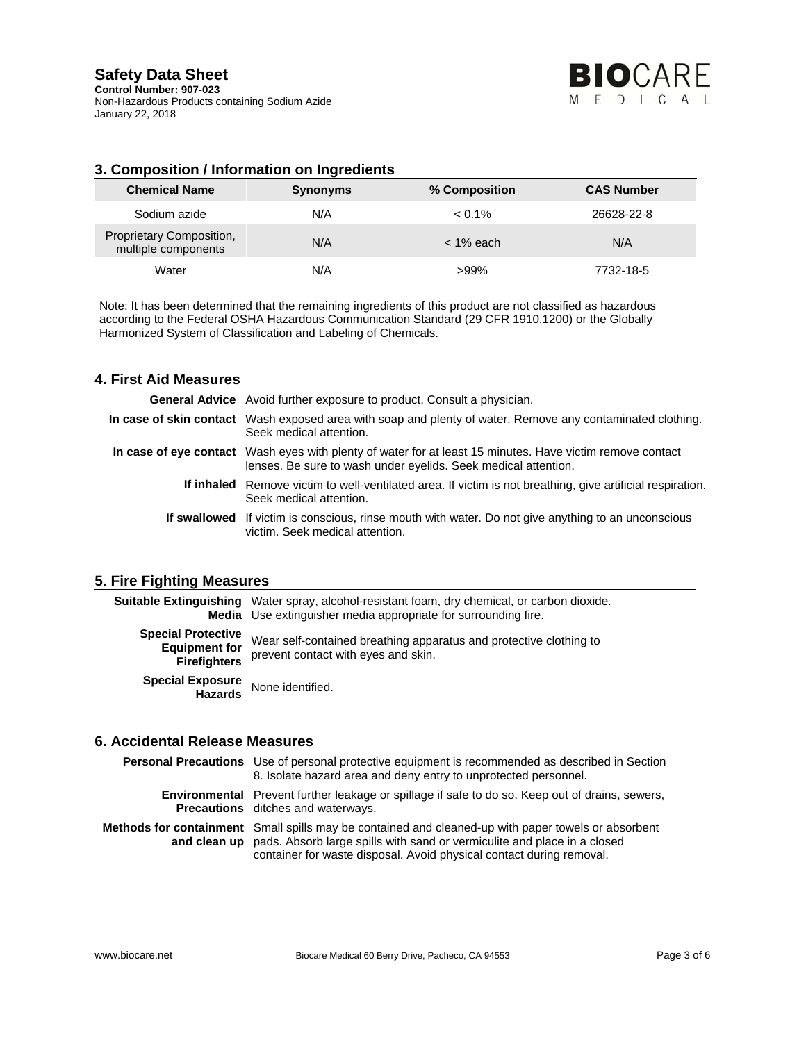**Control Number: 907-023**  Non-Hazardous Products containing Sodium Azide January 22, 2018

## **3. Composition / Information on Ingredients**

| <b>Chemical Name</b>                            | <b>Synonyms</b> | % Composition | <b>CAS Number</b> |
|-------------------------------------------------|-----------------|---------------|-------------------|
| Sodium azide                                    | N/A             | $< 0.1\%$     | 26628-22-8        |
| Proprietary Composition,<br>multiple components | N/A             | < 1% each     | N/A               |
| Water                                           | N/A             | $>99\%$       | 7732-18-5         |

Note: It has been determined that the remaining ingredients of this product are not classified as hazardous according to the Federal OSHA Hazardous Communication Standard (29 CFR 1910.1200) or the Globally Harmonized System of Classification and Labeling of Chemicals.

### **4. First Aid Measures**

| <b>General Advice</b> Avoid further exposure to product. Consult a physician.                                                                                               |
|-----------------------------------------------------------------------------------------------------------------------------------------------------------------------------|
| In case of skin contact Wash exposed area with soap and plenty of water. Remove any contaminated clothing.<br>Seek medical attention.                                       |
| In case of eye contact Wash eyes with plenty of water for at least 15 minutes. Have victim remove contact<br>lenses. Be sure to wash under eyelids. Seek medical attention. |
| If inhaled Remove victim to well-ventilated area. If victim is not breathing, give artificial respiration.<br>Seek medical attention.                                       |
| If swallowed If victim is conscious, rinse mouth with water. Do not give anything to an unconscious<br>victim. Seek medical attention.                                      |

### **5. Fire Fighting Measures**

|                                                                          | <b>Suitable Extinguishing</b> Water spray, alcohol-resistant foam, dry chemical, or carbon dioxide.<br>Media Use extinguisher media appropriate for surrounding fire. |
|--------------------------------------------------------------------------|-----------------------------------------------------------------------------------------------------------------------------------------------------------------------|
| <b>Special Protective</b><br><b>Equipment for</b><br><b>Firefighters</b> | Wear self-contained breathing apparatus and protective clothing to<br>prevent contact with eyes and skin.                                                             |
| Special Exposure<br>Hazards                                              | None identified.                                                                                                                                                      |

### **6. Accidental Release Measures**

| <b>Personal Precautions</b> Use of personal protective equipment is recommended as described in Section<br>8. Isolate hazard area and deny entry to unprotected personnel.                                                                                           |
|----------------------------------------------------------------------------------------------------------------------------------------------------------------------------------------------------------------------------------------------------------------------|
| <b>Environmental</b> Prevent further leakage or spillage if safe to do so. Keep out of drains, sewers,<br><b>Precautions</b> ditches and waterways.                                                                                                                  |
| Methods for containment Small spills may be contained and cleaned-up with paper towels or absorbent<br>and clean up pads. Absorb large spills with sand or vermiculite and place in a closed<br>container for waste disposal. Avoid physical contact during removal. |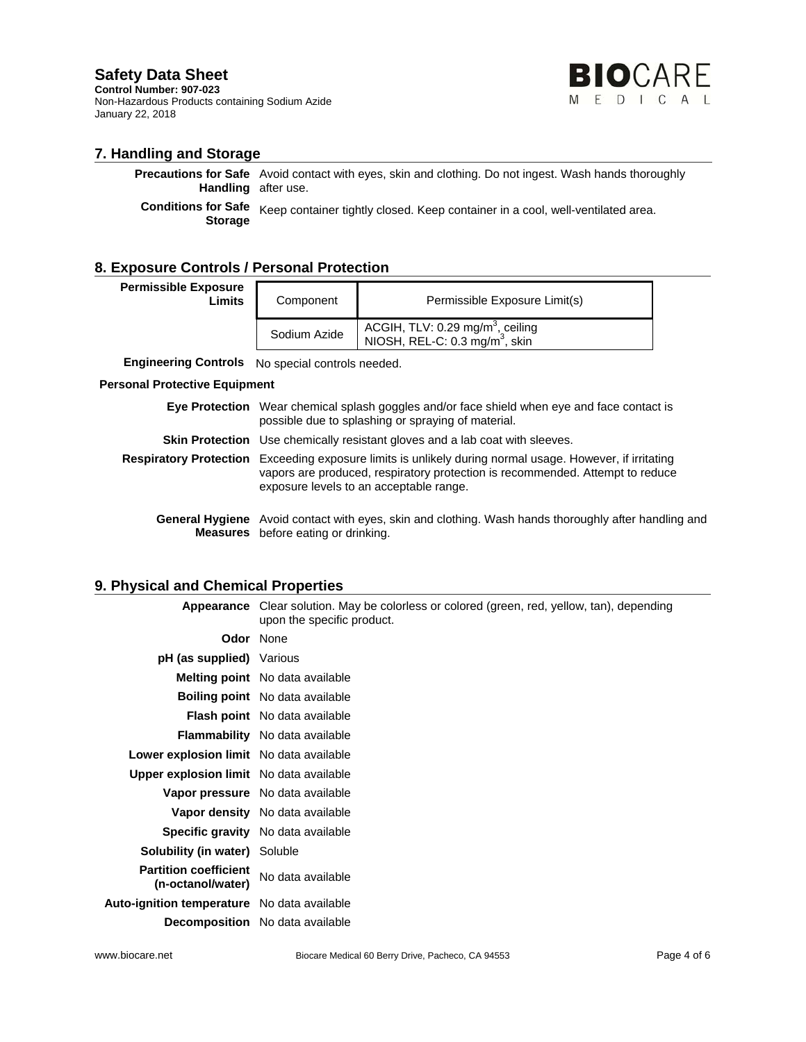**Control Number: 907-023**  Non-Hazardous Products containing Sodium Azide January 22, 2018



### **7. Handling and Storage**

**Precautions for Safe** Avoid contact with eyes, skin and clothing. Do not ingest. Wash hands thoroughly **Handling**  after use.

**Conditions for Safe Storage** Keep container tightly closed. Keep container in a cool, well-ventilated area.

### **8. Exposure Controls / Personal Protection**

| <b>Permissible Exposure</b> |        |
|-----------------------------|--------|
|                             | Limits |
|                             |        |

| <b>osure</b><br>Limits | Component    | Permissible Exposure Limit(s)                                                              |
|------------------------|--------------|--------------------------------------------------------------------------------------------|
|                        | Sodium Azide | ACGIH, TLV: 0.29 mg/m <sup>3</sup> , ceiling<br>NIOSH, REL-C: 0.3 mg/m <sup>3</sup> , skin |

**Engineering Controls** No special controls needed.

#### **Personal Protective Equipment**

| <b>Eye Protection</b> Wear chemical splash goggles and/or face shield when eye and face contact is<br>possible due to splashing or spraying of material.                                                                             |
|--------------------------------------------------------------------------------------------------------------------------------------------------------------------------------------------------------------------------------------|
| <b>Skin Protection</b> Use chemically resistant gloves and a lab coat with sleeves.                                                                                                                                                  |
| Respiratory Protection Exceeding exposure limits is unlikely during normal usage. However, if irritating<br>vapors are produced, respiratory protection is recommended. Attempt to reduce<br>exposure levels to an acceptable range. |
| Canaral Hygiana. Avoid contact with over alin and elething Wooh bands thereughly ofter bondling                                                                                                                                      |

**General Hygiene**  Avoid contact with eyes, skin and clothing. Wash hands thoroughly after handling and **Measures**  before eating or drinking.

### **9. Physical and Chemical Properties**

|                                                    | <b>Appearance</b> Clear solution. May be colorless or colored (green, red, yellow, tan), depending<br>upon the specific product. |
|----------------------------------------------------|----------------------------------------------------------------------------------------------------------------------------------|
|                                                    | <b>Odor</b> None                                                                                                                 |
| <b>pH (as supplied)</b> Various                    |                                                                                                                                  |
|                                                    | <b>Melting point</b> No data available                                                                                           |
|                                                    | <b>Boiling point</b> No data available                                                                                           |
|                                                    | <b>Flash point</b> No data available                                                                                             |
|                                                    | <b>Flammability</b> No data available                                                                                            |
| <b>Lower explosion limit</b> No data available     |                                                                                                                                  |
| <b>Upper explosion limit</b> No data available     |                                                                                                                                  |
|                                                    | <b>Vapor pressure</b> No data available                                                                                          |
|                                                    | <b>Vapor density</b> No data available                                                                                           |
|                                                    | Specific gravity No data available                                                                                               |
| <b>Solubility (in water)</b> Soluble               |                                                                                                                                  |
| <b>Partition coefficient</b><br>(n-octanol/water)  | No data available                                                                                                                |
| <b>Auto-ignition temperature</b> No data available |                                                                                                                                  |
|                                                    | <b>Decomposition</b> No data available                                                                                           |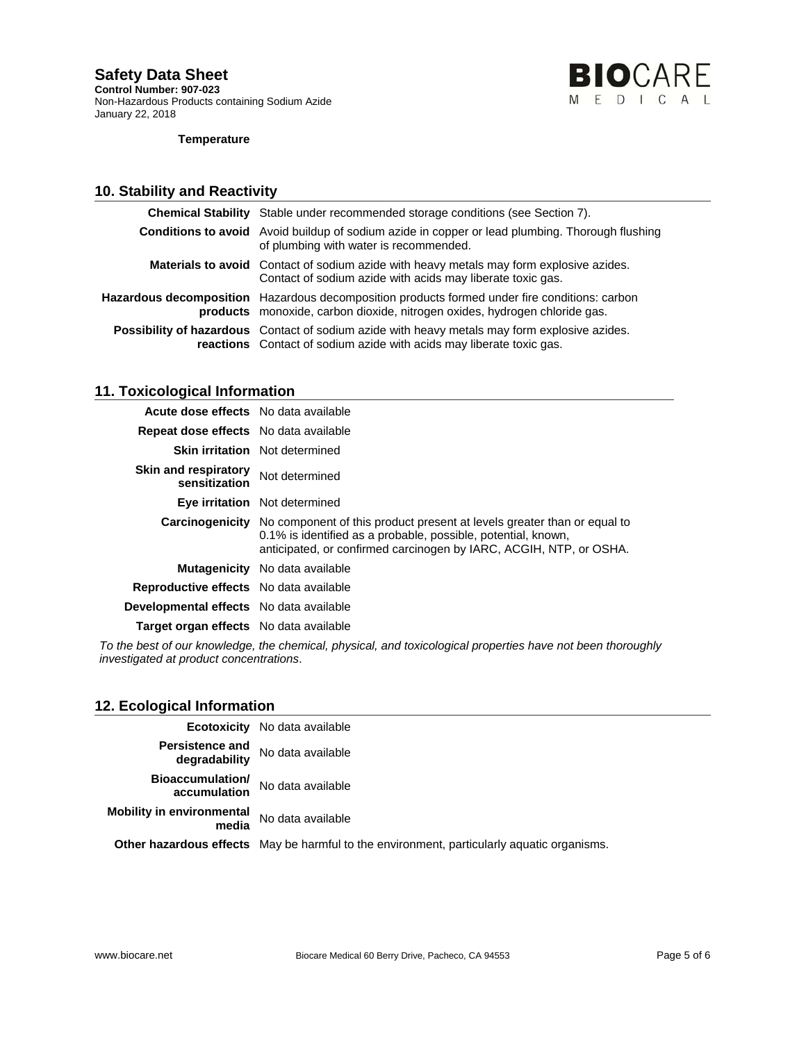**Control Number: 907-023**  Non-Hazardous Products containing Sodium Azide January 22, 2018



#### **Temperature**

## **10. Stability and Reactivity**

| <b>Chemical Stability</b> Stable under recommended storage conditions (see Section 7).                                                                                       |
|------------------------------------------------------------------------------------------------------------------------------------------------------------------------------|
| <b>Conditions to avoid</b> Avoid buildup of sodium azide in copper or lead plumbing. Thorough flushing<br>of plumbing with water is recommended.                             |
| <b>Materials to avoid</b> Contact of sodium azide with heavy metals may form explosive azides.<br>Contact of sodium azide with acids may liberate toxic gas.                 |
| Hazardous decomposition Hazardous decomposition products formed under fire conditions: carbon<br>products monoxide, carbon dioxide, nitrogen oxides, hydrogen chloride gas.  |
| <b>Possibility of hazardous</b> Contact of sodium azide with heavy metals may form explosive azides.<br>reactions Contact of sodium azide with acids may liberate toxic gas. |

## **11. Toxicological Information**

| Acute dose effects No data available         |                                                                                                                                                                                                                                       |
|----------------------------------------------|---------------------------------------------------------------------------------------------------------------------------------------------------------------------------------------------------------------------------------------|
| <b>Repeat dose effects</b> No data available |                                                                                                                                                                                                                                       |
|                                              | <b>Skin irritation</b> Not determined                                                                                                                                                                                                 |
| <b>Skin and respiratory</b><br>sensitization | Not determined                                                                                                                                                                                                                        |
|                                              | Eye irritation Not determined                                                                                                                                                                                                         |
|                                              | <b>Carcinogenicity</b> No component of this product present at levels greater than or equal to<br>0.1% is identified as a probable, possible, potential, known,<br>anticipated, or confirmed carcinogen by IARC, ACGIH, NTP, or OSHA. |
|                                              | <b>Mutagenicity</b> No data available                                                                                                                                                                                                 |
| Reproductive effects No data available       |                                                                                                                                                                                                                                       |
| Developmental effects No data available      |                                                                                                                                                                                                                                       |
| Target organ effects No data available       |                                                                                                                                                                                                                                       |
|                                              |                                                                                                                                                                                                                                       |

*To the best of our knowledge, the chemical, physical, and toxicological properties have not been thoroughly investigated at product concentrations*.

### **12. Ecological Information**

| Looiogioai iniornation                    |                                                                                                   |
|-------------------------------------------|---------------------------------------------------------------------------------------------------|
|                                           | <b>Ecotoxicity</b> No data available                                                              |
| <b>Persistence and</b><br>degradability   | No data available                                                                                 |
| <b>Bioaccumulation/</b><br>accumulation   | No data available                                                                                 |
| <b>Mobility in environmental</b><br>media | No data available                                                                                 |
|                                           | <b>Other hazardous effects</b> May be harmful to the environment, particularly aquatic organisms. |